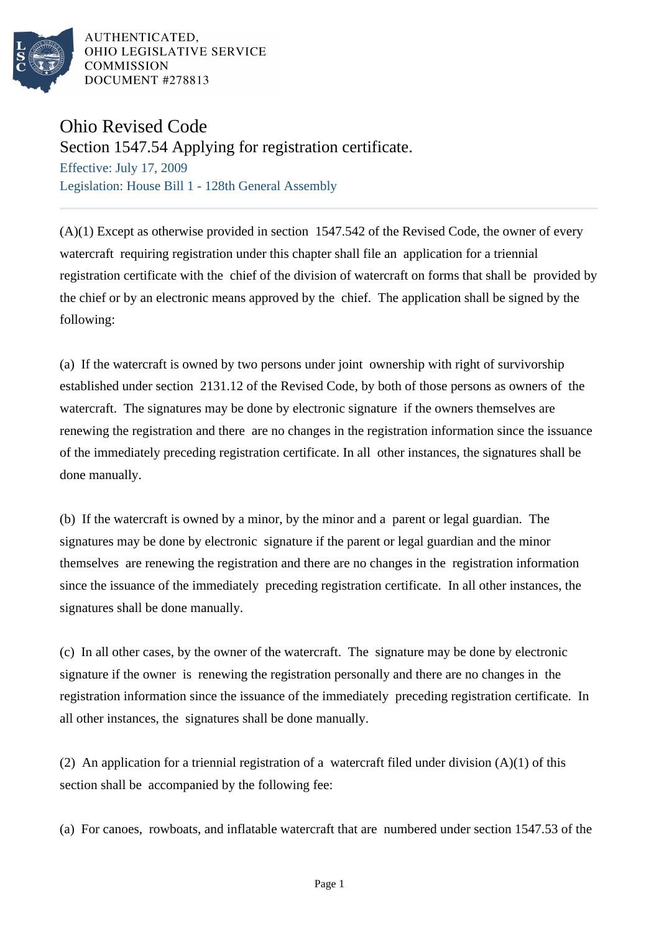

## Ohio Revised Code

Section 1547.54 Applying for registration certificate.

Effective: July 17, 2009 Legislation: House Bill 1 - 128th General Assembly

(A)(1) Except as otherwise provided in section 1547.542 of the Revised Code, the owner of every watercraft requiring registration under this chapter shall file an application for a triennial registration certificate with the chief of the division of watercraft on forms that shall be provided by the chief or by an electronic means approved by the chief. The application shall be signed by the following:

(a) If the watercraft is owned by two persons under joint ownership with right of survivorship established under section 2131.12 of the Revised Code, by both of those persons as owners of the watercraft. The signatures may be done by electronic signature if the owners themselves are renewing the registration and there are no changes in the registration information since the issuance of the immediately preceding registration certificate. In all other instances, the signatures shall be done manually.

(b) If the watercraft is owned by a minor, by the minor and a parent or legal guardian. The signatures may be done by electronic signature if the parent or legal guardian and the minor themselves are renewing the registration and there are no changes in the registration information since the issuance of the immediately preceding registration certificate. In all other instances, the signatures shall be done manually.

(c) In all other cases, by the owner of the watercraft. The signature may be done by electronic signature if the owner is renewing the registration personally and there are no changes in the registration information since the issuance of the immediately preceding registration certificate. In all other instances, the signatures shall be done manually.

(2) An application for a triennial registration of a watercraft filed under division  $(A)(1)$  of this section shall be accompanied by the following fee:

(a) For canoes, rowboats, and inflatable watercraft that are numbered under section 1547.53 of the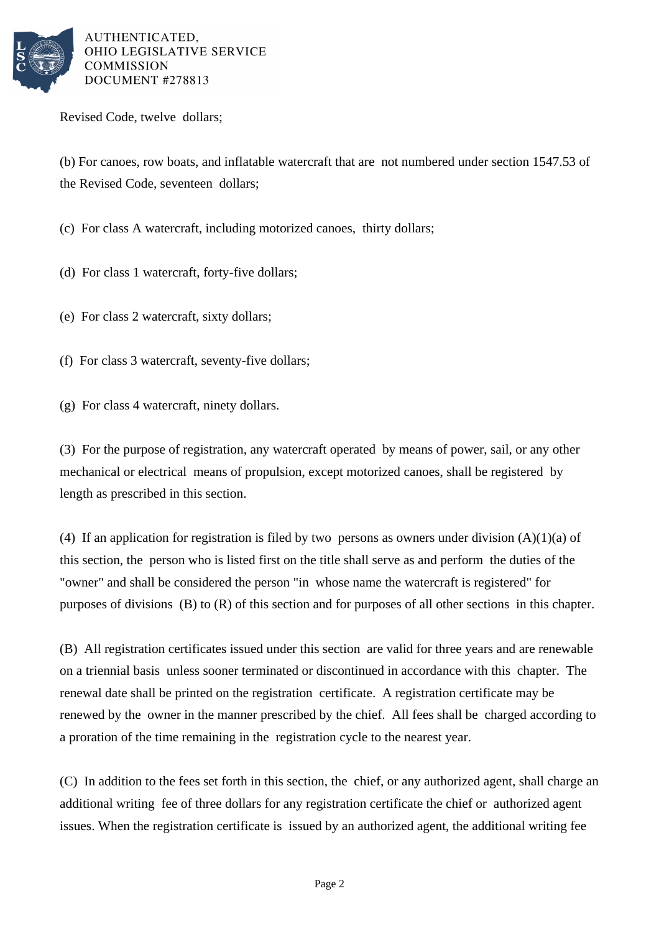

Revised Code, twelve dollars;

(b) For canoes, row boats, and inflatable watercraft that are not numbered under section 1547.53 of the Revised Code, seventeen dollars;

- (c) For class A watercraft, including motorized canoes, thirty dollars;
- (d) For class 1 watercraft, forty-five dollars;
- (e) For class 2 watercraft, sixty dollars;
- (f) For class 3 watercraft, seventy-five dollars;
- (g) For class 4 watercraft, ninety dollars.

(3) For the purpose of registration, any watercraft operated by means of power, sail, or any other mechanical or electrical means of propulsion, except motorized canoes, shall be registered by length as prescribed in this section.

(4) If an application for registration is filed by two persons as owners under division  $(A)(1)(a)$  of this section, the person who is listed first on the title shall serve as and perform the duties of the "owner" and shall be considered the person "in whose name the watercraft is registered" for purposes of divisions (B) to (R) of this section and for purposes of all other sections in this chapter.

(B) All registration certificates issued under this section are valid for three years and are renewable on a triennial basis unless sooner terminated or discontinued in accordance with this chapter. The renewal date shall be printed on the registration certificate. A registration certificate may be renewed by the owner in the manner prescribed by the chief. All fees shall be charged according to a proration of the time remaining in the registration cycle to the nearest year.

(C) In addition to the fees set forth in this section, the chief, or any authorized agent, shall charge an additional writing fee of three dollars for any registration certificate the chief or authorized agent issues. When the registration certificate is issued by an authorized agent, the additional writing fee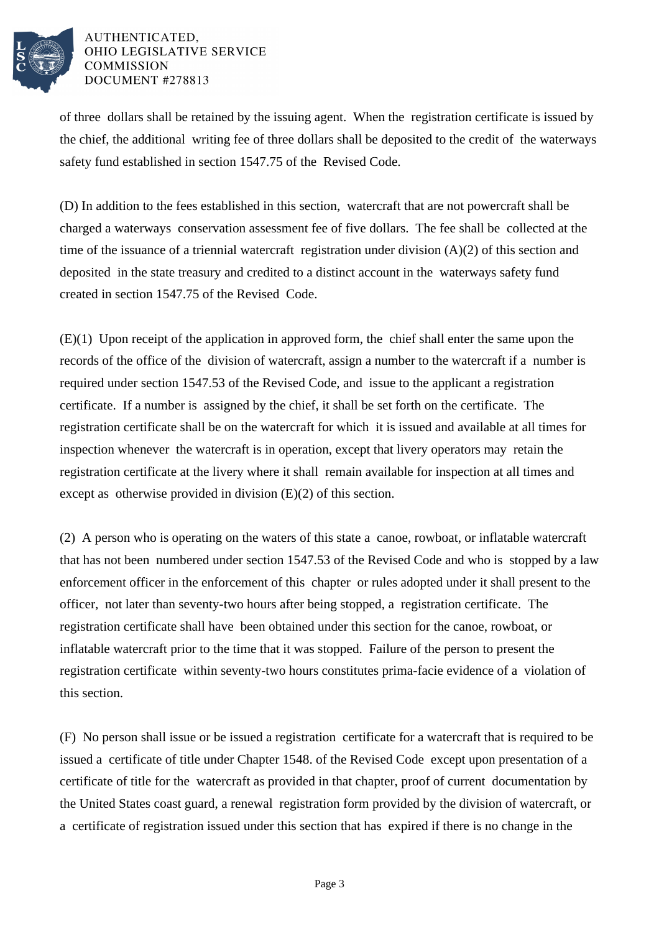

of three dollars shall be retained by the issuing agent. When the registration certificate is issued by the chief, the additional writing fee of three dollars shall be deposited to the credit of the waterways safety fund established in section 1547.75 of the Revised Code.

(D) In addition to the fees established in this section, watercraft that are not powercraft shall be charged a waterways conservation assessment fee of five dollars. The fee shall be collected at the time of the issuance of a triennial watercraft registration under division (A)(2) of this section and deposited in the state treasury and credited to a distinct account in the waterways safety fund created in section 1547.75 of the Revised Code.

(E)(1) Upon receipt of the application in approved form, the chief shall enter the same upon the records of the office of the division of watercraft, assign a number to the watercraft if a number is required under section 1547.53 of the Revised Code, and issue to the applicant a registration certificate. If a number is assigned by the chief, it shall be set forth on the certificate. The registration certificate shall be on the watercraft for which it is issued and available at all times for inspection whenever the watercraft is in operation, except that livery operators may retain the registration certificate at the livery where it shall remain available for inspection at all times and except as otherwise provided in division (E)(2) of this section.

(2) A person who is operating on the waters of this state a canoe, rowboat, or inflatable watercraft that has not been numbered under section 1547.53 of the Revised Code and who is stopped by a law enforcement officer in the enforcement of this chapter or rules adopted under it shall present to the officer, not later than seventy-two hours after being stopped, a registration certificate. The registration certificate shall have been obtained under this section for the canoe, rowboat, or inflatable watercraft prior to the time that it was stopped. Failure of the person to present the registration certificate within seventy-two hours constitutes prima-facie evidence of a violation of this section.

(F) No person shall issue or be issued a registration certificate for a watercraft that is required to be issued a certificate of title under Chapter 1548. of the Revised Code except upon presentation of a certificate of title for the watercraft as provided in that chapter, proof of current documentation by the United States coast guard, a renewal registration form provided by the division of watercraft, or a certificate of registration issued under this section that has expired if there is no change in the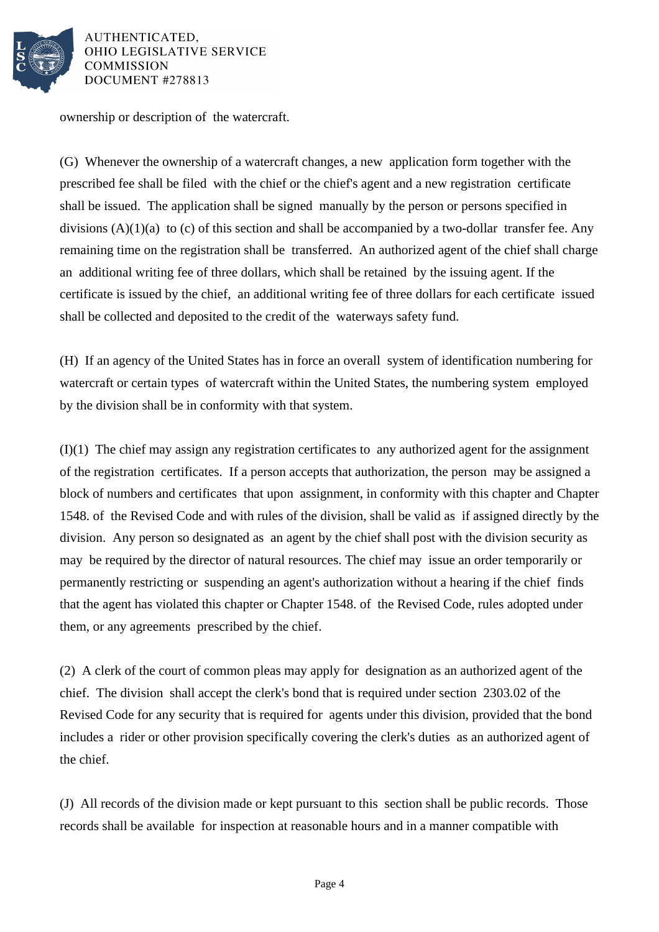

ownership or description of the watercraft.

(G) Whenever the ownership of a watercraft changes, a new application form together with the prescribed fee shall be filed with the chief or the chief's agent and a new registration certificate shall be issued. The application shall be signed manually by the person or persons specified in divisions  $(A)(1)(a)$  to  $(c)$  of this section and shall be accompanied by a two-dollar transfer fee. Any remaining time on the registration shall be transferred. An authorized agent of the chief shall charge an additional writing fee of three dollars, which shall be retained by the issuing agent. If the certificate is issued by the chief, an additional writing fee of three dollars for each certificate issued shall be collected and deposited to the credit of the waterways safety fund.

(H) If an agency of the United States has in force an overall system of identification numbering for watercraft or certain types of watercraft within the United States, the numbering system employed by the division shall be in conformity with that system.

(I)(1) The chief may assign any registration certificates to any authorized agent for the assignment of the registration certificates. If a person accepts that authorization, the person may be assigned a block of numbers and certificates that upon assignment, in conformity with this chapter and Chapter 1548. of the Revised Code and with rules of the division, shall be valid as if assigned directly by the division. Any person so designated as an agent by the chief shall post with the division security as may be required by the director of natural resources. The chief may issue an order temporarily or permanently restricting or suspending an agent's authorization without a hearing if the chief finds that the agent has violated this chapter or Chapter 1548. of the Revised Code, rules adopted under them, or any agreements prescribed by the chief.

(2) A clerk of the court of common pleas may apply for designation as an authorized agent of the chief. The division shall accept the clerk's bond that is required under section 2303.02 of the Revised Code for any security that is required for agents under this division, provided that the bond includes a rider or other provision specifically covering the clerk's duties as an authorized agent of the chief.

(J) All records of the division made or kept pursuant to this section shall be public records. Those records shall be available for inspection at reasonable hours and in a manner compatible with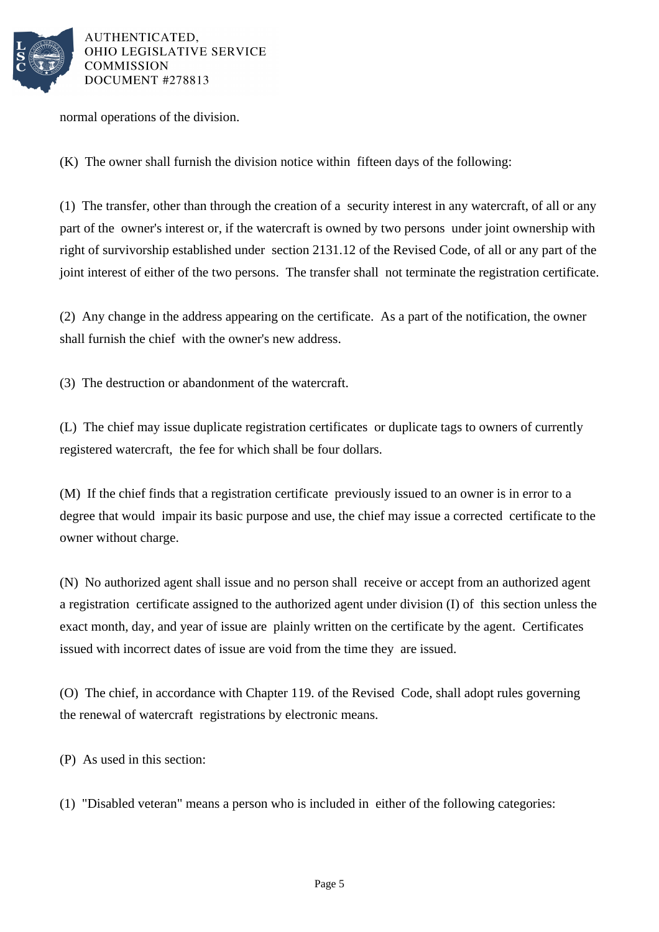

normal operations of the division.

(K) The owner shall furnish the division notice within fifteen days of the following:

(1) The transfer, other than through the creation of a security interest in any watercraft, of all or any part of the owner's interest or, if the watercraft is owned by two persons under joint ownership with right of survivorship established under section 2131.12 of the Revised Code, of all or any part of the joint interest of either of the two persons. The transfer shall not terminate the registration certificate.

(2) Any change in the address appearing on the certificate. As a part of the notification, the owner shall furnish the chief with the owner's new address.

(3) The destruction or abandonment of the watercraft.

(L) The chief may issue duplicate registration certificates or duplicate tags to owners of currently registered watercraft, the fee for which shall be four dollars.

(M) If the chief finds that a registration certificate previously issued to an owner is in error to a degree that would impair its basic purpose and use, the chief may issue a corrected certificate to the owner without charge.

(N) No authorized agent shall issue and no person shall receive or accept from an authorized agent a registration certificate assigned to the authorized agent under division (I) of this section unless the exact month, day, and year of issue are plainly written on the certificate by the agent. Certificates issued with incorrect dates of issue are void from the time they are issued.

(O) The chief, in accordance with Chapter 119. of the Revised Code, shall adopt rules governing the renewal of watercraft registrations by electronic means.

(P) As used in this section:

(1) "Disabled veteran" means a person who is included in either of the following categories: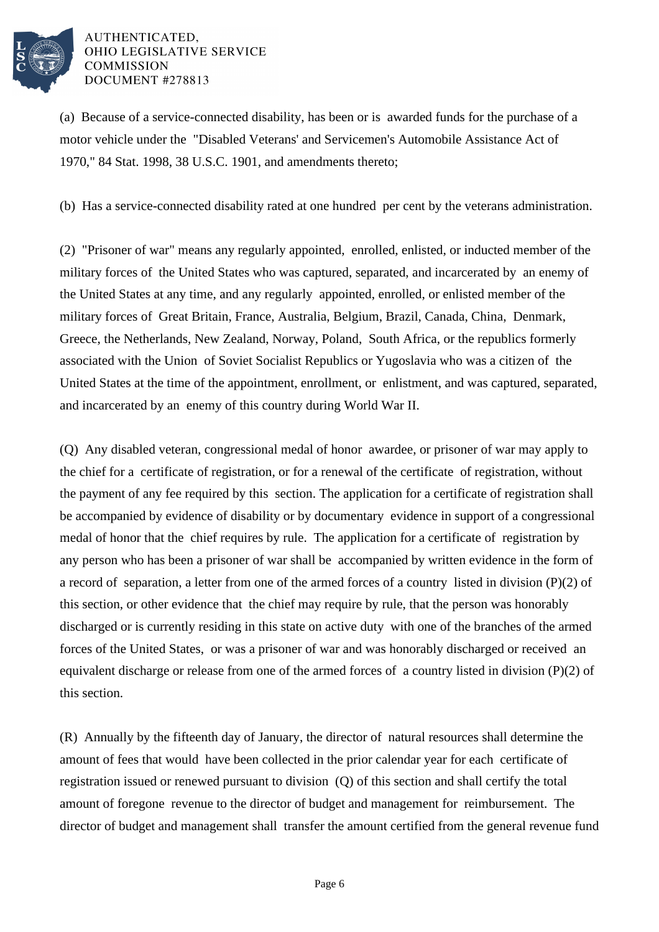

(a) Because of a service-connected disability, has been or is awarded funds for the purchase of a motor vehicle under the "Disabled Veterans' and Servicemen's Automobile Assistance Act of 1970," 84 Stat. 1998, 38 U.S.C. 1901, and amendments thereto;

(b) Has a service-connected disability rated at one hundred per cent by the veterans administration.

(2) "Prisoner of war" means any regularly appointed, enrolled, enlisted, or inducted member of the military forces of the United States who was captured, separated, and incarcerated by an enemy of the United States at any time, and any regularly appointed, enrolled, or enlisted member of the military forces of Great Britain, France, Australia, Belgium, Brazil, Canada, China, Denmark, Greece, the Netherlands, New Zealand, Norway, Poland, South Africa, or the republics formerly associated with the Union of Soviet Socialist Republics or Yugoslavia who was a citizen of the United States at the time of the appointment, enrollment, or enlistment, and was captured, separated, and incarcerated by an enemy of this country during World War II.

(Q) Any disabled veteran, congressional medal of honor awardee, or prisoner of war may apply to the chief for a certificate of registration, or for a renewal of the certificate of registration, without the payment of any fee required by this section. The application for a certificate of registration shall be accompanied by evidence of disability or by documentary evidence in support of a congressional medal of honor that the chief requires by rule. The application for a certificate of registration by any person who has been a prisoner of war shall be accompanied by written evidence in the form of a record of separation, a letter from one of the armed forces of a country listed in division (P)(2) of this section, or other evidence that the chief may require by rule, that the person was honorably discharged or is currently residing in this state on active duty with one of the branches of the armed forces of the United States, or was a prisoner of war and was honorably discharged or received an equivalent discharge or release from one of the armed forces of a country listed in division (P)(2) of this section.

(R) Annually by the fifteenth day of January, the director of natural resources shall determine the amount of fees that would have been collected in the prior calendar year for each certificate of registration issued or renewed pursuant to division (Q) of this section and shall certify the total amount of foregone revenue to the director of budget and management for reimbursement. The director of budget and management shall transfer the amount certified from the general revenue fund